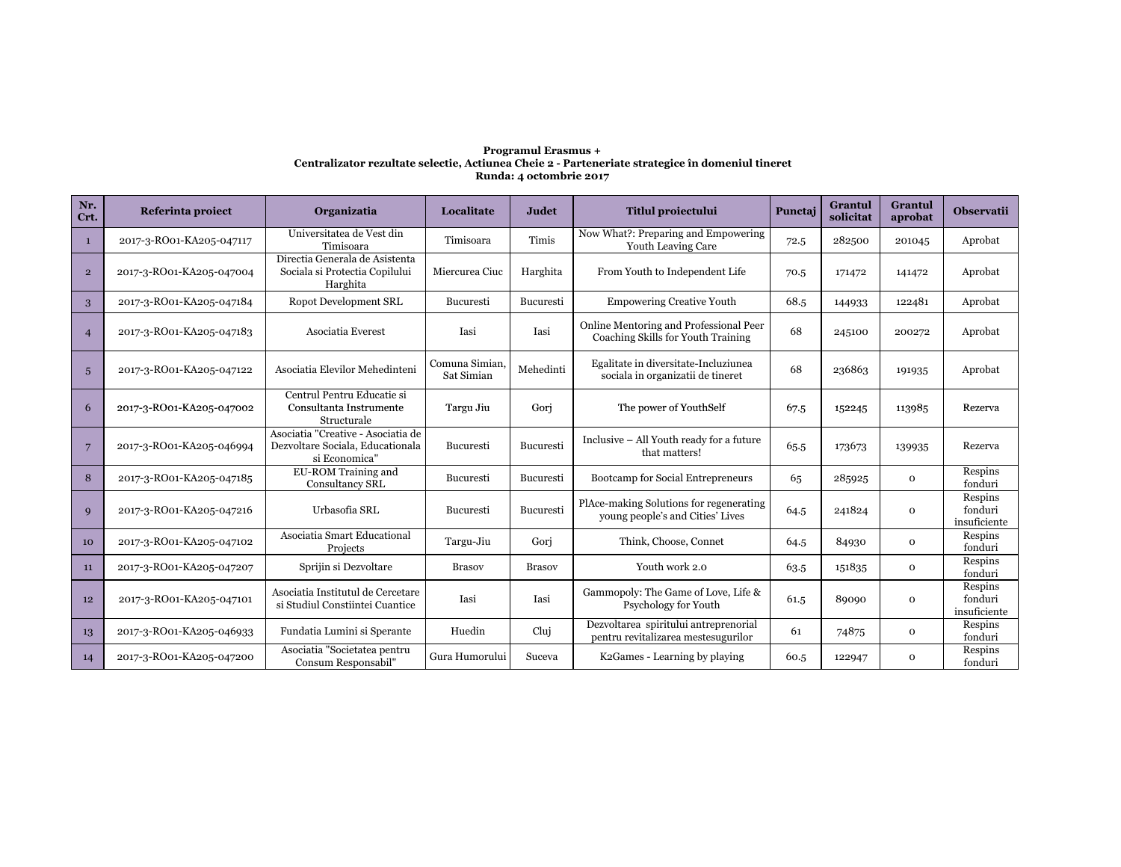## **Programul Erasmus + Centralizator rezultate selectie, Actiunea Cheie 2 - Parteneriate strategice în domeniul tineretRunda: 4 octombrie 2017**

| Nr.<br>Crt.     | Referinta proiect        | Organizatia                                                                             | Localitate                   | Judet         | <b>Titlul proiectului</b>                                                    | Punctaj | <b>Grantul</b><br>solicitat | Grantul<br>aprobat | <b>Observatii</b>                  |
|-----------------|--------------------------|-----------------------------------------------------------------------------------------|------------------------------|---------------|------------------------------------------------------------------------------|---------|-----------------------------|--------------------|------------------------------------|
| $\mathbf{1}$    | 2017-3-RO01-KA205-047117 | Universitatea de Vest din<br>Timisoara                                                  | Timisoara                    | Timis         | Now What?: Preparing and Empowering<br><b>Youth Leaving Care</b>             | 72.5    | 282500                      | 201045             | Aprobat                            |
| $\overline{2}$  | 2017-3-RO01-KA205-047004 | Directia Generala de Asistenta<br>Sociala si Protectia Copilului<br>Harghita            | Miercurea Ciuc               | Harghita      | From Youth to Independent Life                                               | 70.5    | 171472                      | 141472             | Aprobat                            |
| 3               | 2017-3-RO01-KA205-047184 | Ropot Development SRL                                                                   | Bucuresti                    | Bucuresti     | <b>Empowering Creative Youth</b>                                             | 68.5    | 144933                      | 122481             | Aprobat                            |
| $\overline{4}$  | 2017-3-RO01-KA205-047183 | Asociatia Everest                                                                       | Iasi                         | Iasi          | Online Mentoring and Professional Peer<br>Coaching Skills for Youth Training | 68      | 245100                      | 200272             | Aprobat                            |
| 5               | 2017-3-RO01-KA205-047122 | Asociatia Elevilor Mehedinteni                                                          | Comuna Simian,<br>Sat Simian | Mehedinti     | Egalitate in diversitate-Incluziunea<br>sociala in organizatii de tineret    | 68      | 236863                      | 191935             | Aprobat                            |
| 6               | 2017-3-RO01-KA205-047002 | Centrul Pentru Educatie si<br>Consultanta Instrumente<br>Structurale                    | Targu Jiu                    | Gori          | The power of YouthSelf                                                       | 67.5    | 152245                      | 113985             | Rezerva                            |
| $\overline{7}$  | 2017-3-RO01-KA205-046994 | Asociatia "Creative - Asociatia de<br>Dezvoltare Sociala, Educationala<br>si Economica" | Bucuresti                    | Bucuresti     | Inclusive - All Youth ready for a future<br>that matters!                    | 65.5    | 173673                      | 139935             | Rezerva                            |
| 8               | 2017-3-RO01-KA205-047185 | EU-ROM Training and<br><b>Consultancy SRL</b>                                           | <b>Bucuresti</b>             | Bucuresti     | Bootcamp for Social Entrepreneurs                                            | 65      | 285925                      | $\mathbf 0$        | Respins<br>fonduri                 |
| 9               | 2017-3-RO01-KA205-047216 | Urbasofia SRL                                                                           | Bucuresti                    | Bucuresti     | PlAce-making Solutions for regenerating<br>young people's and Cities' Lives  | 64.5    | 241824                      | $\mathbf 0$        | Respins<br>fonduri<br>insuficiente |
| 10 <sup>°</sup> | 2017-3-RO01-KA205-047102 | Asociatia Smart Educational<br>Projects                                                 | Targu-Jiu                    | Gori          | Think, Choose, Connet                                                        | 64.5    | 84930                       | $\mathbf 0$        | Respins<br>fonduri                 |
| 11              | 2017-3-RO01-KA205-047207 | Sprijin si Dezvoltare                                                                   | <b>Brasov</b>                | <b>Brasov</b> | Youth work 2.0                                                               | 63.5    | 151835                      | $\mathbf 0$        | Respins<br>fonduri                 |
| 12              | 2017-3-RO01-KA205-047101 | Asociatia Institutul de Cercetare<br>si Studiul Constiintei Cuantice                    | Iasi                         | Iasi          | Gammopoly: The Game of Love, Life &<br>Psychology for Youth                  | 61.5    | 89090                       | $\mathbf 0$        | Respins<br>fonduri<br>insuficiente |
| 13              | 2017-3-RO01-KA205-046933 | Fundatia Lumini si Sperante                                                             | Huedin                       | Clui          | Dezvoltarea spiritului antreprenorial<br>pentru revitalizarea mestesugurilor | 61      | 74875                       | $\mathbf 0$        | Respins<br>fonduri                 |
| 14              | 2017-3-RO01-KA205-047200 | Asociatia "Societatea pentru<br>Consum Responsabil"                                     | Gura Humorului               | Suceva        | K2Games - Learning by playing                                                | 60.5    | 122947                      | $\mathbf 0$        | Respins<br>fonduri                 |